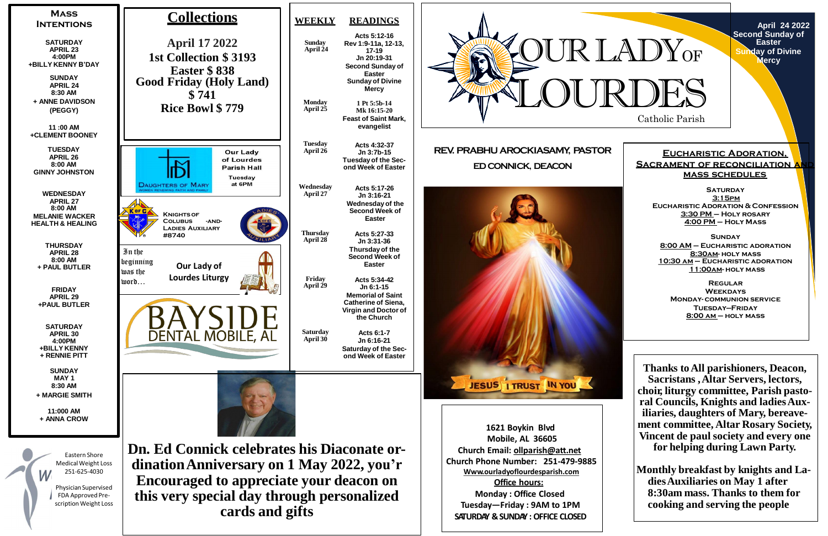**April 24 2022 Second Sunday of Easter Sunday of Divine**  lercy





**1621 Boykin Blvd Mobile, AL 36605 Church Email: [ollparish@att.net](mailto:ollparish@att.net) Church Phone Number: 251-479-9885 Www.ourladyoflourdesparish.com Office hours: Monday : Office Closed Tuesday—Friday : 9AM to 1PM SATURDAY &SUNDAY : OFFICE CLOSED**



#### **Eucharistic Adoration, SACRAMENT OF RECONCILIATION A mass schedules**

**Saturday 3:15pm Eucharistic Adoration & Confession 3:30 PM – Holy rosary 4:00 PM – Holy Mass**

**Sunday 8:00 AM – Eucharistic adoration 8:30am- holy mass 10:30 am – Eucharistic adoration 11:00am- holy mass**

**Regular Weekdays Monday- communion service Tuesday—Friday 8:00 am – holy mass**

**Thanks toAll parishioners, Deacon, Sacristans ,Altar Servers, lectors, choir, liturgy committee, Parish pastoral Councils, Knights and ladiesAuxiliaries, daughters of Mary, bereavement committee, Altar Rosary Society, Vincent de paul society and every one for helping during Lawn Party.**

**Monthly breakfast by knights and LadiesAuxiliaries on May 1 after 8:30am mass. Thanks to them for cooking and serving the people**